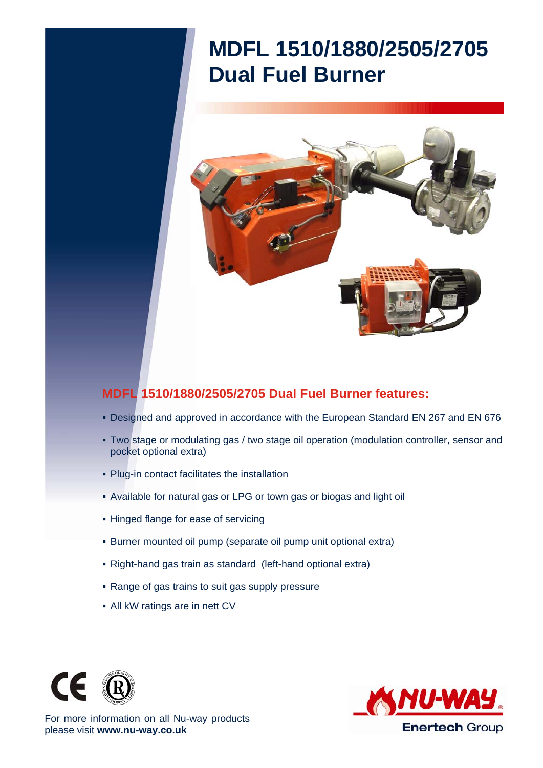## **MDFL 1510/1880/2505/2705 Dual Fuel Burner**



## **MDFL 1510/1880/2505/2705 Dual Fuel Burner features:**

- Designed and approved in accordance with the European Standard EN 267 and EN 676
- Two stage or modulating gas / two stage oil operation (modulation controller, sensor and pocket optional extra)
- Plug-in contact facilitates the installation
- Available for natural gas or LPG or town gas or biogas and light oil
- **Hinged flange for ease of servicing**
- Burner mounted oil pump (separate oil pump unit optional extra)
- Right-hand gas train as standard (left-hand optional extra)
- Range of gas trains to suit gas supply pressure
- All kW ratings are in nett CV





For more information on all Nu-way products please visit **www.nu-way.co.uk**